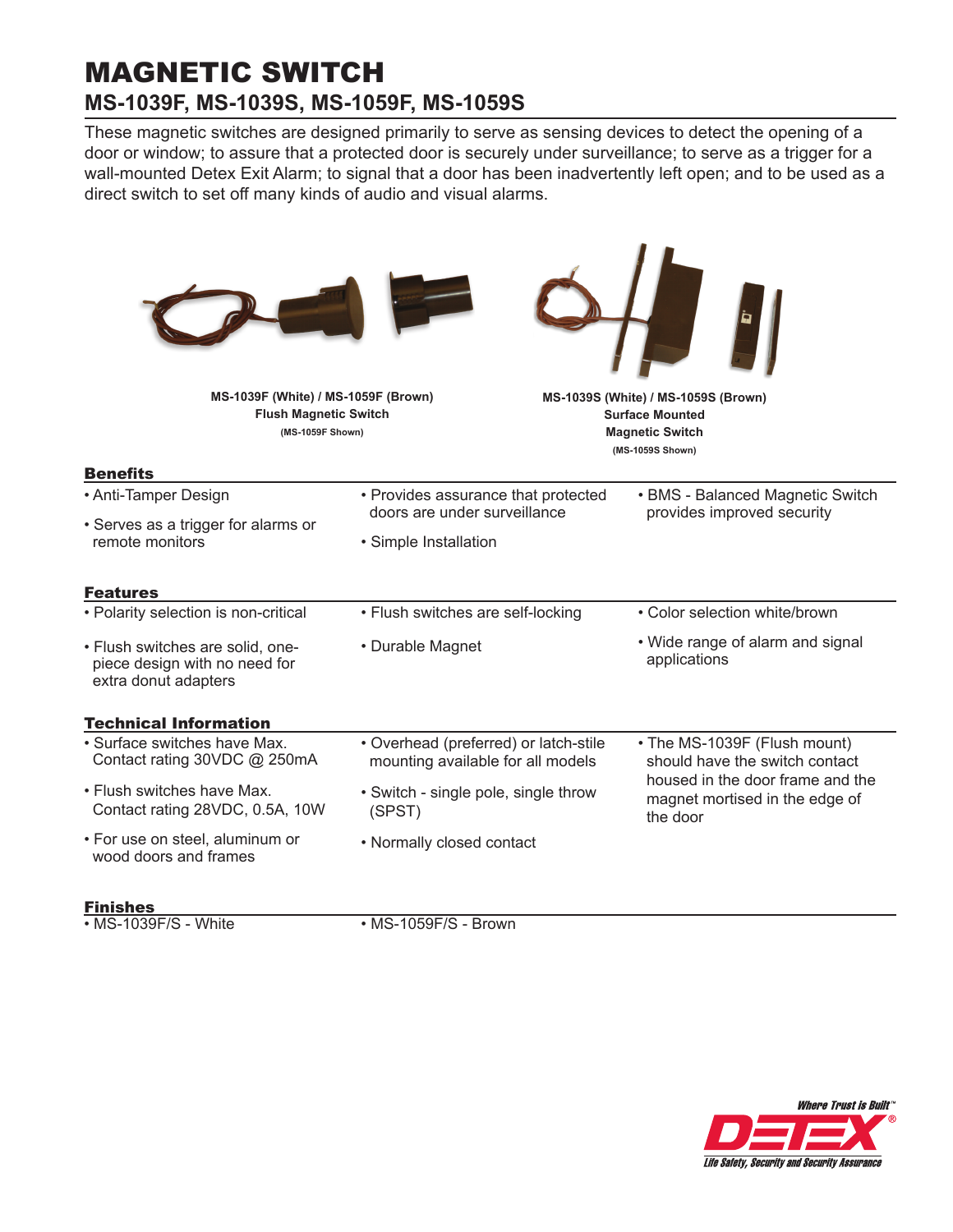# MAGNETIC SWITCH **MS-1039F, MS-1039S, MS-1059F, MS-1059S**

These magnetic switches are designed primarily to serve as sensing devices to detect the opening of a door or window; to assure that a protected door is securely under surveillance; to serve as a trigger for a wall-mounted Detex Exit Alarm; to signal that a door has been inadvertently left open; and to be used as a direct switch to set off many kinds of audio and visual alarms.

٠

| MS-1039F (White) / MS-1059F (Brown)<br><b>Flush Magnetic Switch</b><br>(MS-1059F Shown)   |                                                                            | MS-1039S (White) / MS-1059S (Brown)<br><b>Surface Mounted</b><br><b>Magnetic Switch</b><br>(MS-1059S Shown) |
|-------------------------------------------------------------------------------------------|----------------------------------------------------------------------------|-------------------------------------------------------------------------------------------------------------|
| <b>Benefits</b><br>• Anti-Tamper Design                                                   | • Provides assurance that protected                                        | • BMS - Balanced Magnetic Switch                                                                            |
| • Serves as a trigger for alarms or<br>remote monitors                                    | doors are under surveillance                                               | provides improved security                                                                                  |
|                                                                                           | • Simple Installation                                                      |                                                                                                             |
| <b>Features</b>                                                                           |                                                                            |                                                                                                             |
| • Polarity selection is non-critical                                                      | • Flush switches are self-locking                                          | • Color selection white/brown                                                                               |
| · Flush switches are solid, one-<br>piece design with no need for<br>extra donut adapters | • Durable Magnet                                                           | • Wide range of alarm and signal<br>applications                                                            |
| <b>Technical Information</b>                                                              |                                                                            |                                                                                                             |
| • Surface switches have Max.<br>Contact rating 30VDC @ 250mA                              | • Overhead (preferred) or latch-stile<br>mounting available for all models | • The MS-1039F (Flush mount)<br>should have the switch contact                                              |
| • Flush switches have Max.<br>Contact rating 28VDC, 0.5A, 10W                             | • Switch - single pole, single throw<br>(SPST)                             | housed in the door frame and the<br>magnet mortised in the edge of<br>the door                              |
| • For use on steel, aluminum or<br>wood doors and frames                                  | • Normally closed contact                                                  |                                                                                                             |

## Finishes

• MS-1039F/S - White

• MS-1059F/S - Brown